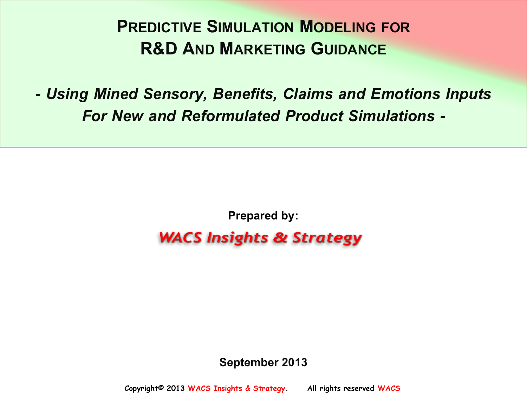# **PREDICTIVE SIMULATION MODELING FOR R&D AND MARKETING GUIDANCE**

*- Using Mined Sensory, Benefits, Claims and Emotions Inputs For New and Reformulated Product Simulations -*

**Prepared by:**

## **WACS Insights & Strategy**

#### **September 2013**

 **Copyright© 2013 WACS Insights & Strategy. All rights reserved WACS**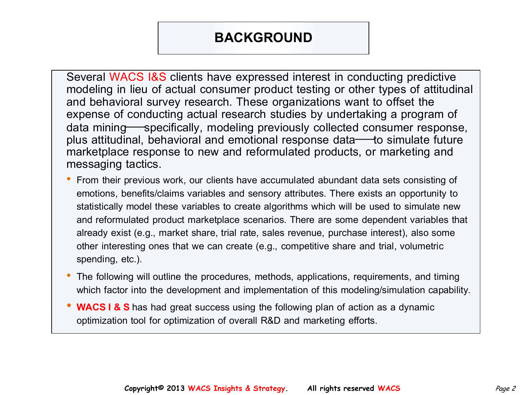### **BACKGROUND**

Several WACS I&S clients have expressed interest in conducting predictive modeling in lieu of actual consumer product testing or other types of attitudinal and behavioral survey research. These organizations want to offset the expense of conducting actual research studies by undertaking a program of data mining specifically, modeling previously collected consumer response, plus attitudinal, behavioral and emotional response data to simulate future marketplace response to new and reformulated products, or marketing and messaging tactics.

- From their previous work, our clients have accumulated abundant data sets consisting of emotions, benefits/claims variables and sensory attributes. There exists an opportunity to statistically model these variables to create algorithms which will be used to simulate new and reformulated product marketplace scenarios. There are some dependent variables that already exist (e.g., market share, trial rate, sales revenue, purchase interest), also some other interesting ones that we can create (e.g., competitive share and trial, volumetric spending, etc.).
- The following will outline the procedures, methods, applications, requirements, and timing which factor into the development and implementation of this modeling/simulation capability.
- **WACS I & S** has had great success using the following plan of action as a dynamic optimization tool for optimization of overall R&D and marketing efforts.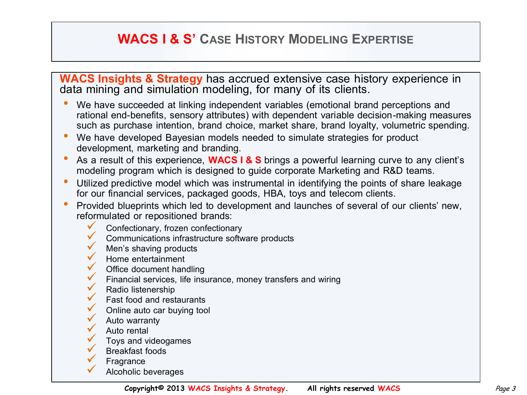### **WACS I & S' CASE HISTORY MODELING EXPERTISE**

**WACS Insights & Strategy** has accrued extensive case history experience in data mining and simulation modeling, for many of its clients.

- We have succeeded at linking independent variables (emotional brand perceptions and rational end-benefits, sensory attributes) with dependent variable decision-making measures such as purchase intention, brand choice, market share, brand loyalty, volumetric spending.
- We have developed Bayesian models needed to simulate strategies for product development, marketing and branding.
- As a result of this experience, **WACS I & S** brings a powerful learning curve to any client's modeling program which is designed to guide corporate Marketing and R&D teams.
- Utilized predictive model which was instrumental in identifying the points of share leakage for our financial services, packaged goods, HBA, toys and telecom clients.
- Provided blueprints which led to development and launches of several of our clients' new, reformulated or repositioned brands:
	- Confectionary, frozen confectionary
		- Communications infrastructure software products
	- $\overline{v}$  Men's shaving products<br> $\overline{v}$  Home entertainment
	- Home entertainment<br>Office document handling
	-
	- $\checkmark$  Financial services, life insurance, money transfers and wiring
		- Radio listenership
		- Fast food and restaurants
		- Online auto car buying tool
		- Auto warranty Auto rental
		-
		- Toys and videogames
	- Breakfast foods
	- **Fragrance**
	- Alcoholic beverages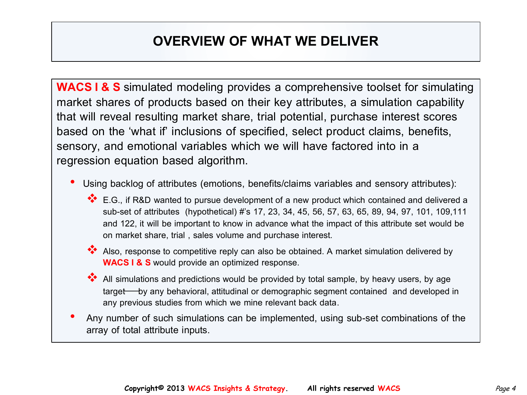## **OVERVIEW OF WHAT WE DELIVER**

**WACS I & S** simulated modeling provides a comprehensive toolset for simulating market shares of products based on their key attributes, a simulation capability that will reveal resulting market share, trial potential, purchase interest scores based on the 'what if' inclusions of specified, select product claims, benefits, sensory, and emotional variables which we will have factored into in a regression equation based algorithm.

- Using backlog of attributes (emotions, benefits/claims variables and sensory attributes):
	- ◆ E.G., if R&D wanted to pursue development of a new product which contained and delivered a sub-set of attributes (hypothetical) #'s 17, 23, 34, 45, 56, 57, 63, 65, 89, 94, 97, 101, 109,111 and 122, it will be important to know in advance what the impact of this attribute set would be on market share, trial , sales volume and purchase interest.
	- Also, response to competitive reply can also be obtained. A market simulation delivered by **WACS I & S** would provide an optimized response.
	- All simulations and predictions would be provided by total sample, by heavy users, by age target—by any behavioral, attitudinal or demographic segment contained and developed in any previous studies from which we mine relevant back data.
- Any number of such simulations can be implemented, using sub-set combinations of the array of total attribute inputs.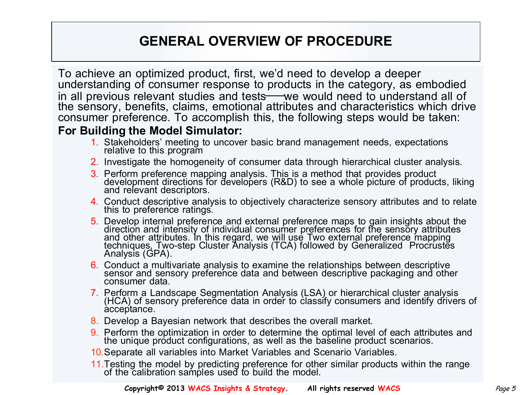## **GENERAL OVERVIEW OF PROCEDURE**

To achieve an optimized product, first, we'd need to develop a deeper understanding of consumer response to products in the category, as embodied in all previous relevant studies and tests—we would need to understand all of the sensory, benefits, claims, emotional attributes and characteristics which drive consumer preference. To accomplish this, the following steps would be taken:

#### **For Building the Model Simulator:**

- 1. Stakeholders' meeting to uncover basic brand management needs, expectations relative to this program
- 2. Investigate the homogeneity of consumer data through hierarchical cluster analysis.
- 3. Perform preference mapping analysis. This is a method that provides product development directions for developers (R&D) to see a whole picture of products, liking and relevant descriptors.
- 4. Conduct descriptive analysis to objectively characterize sensory attributes and to relate this to preference ratings.
- 5. Develop internal preference and external preference maps to gain insights about the direction and intensity of individual consumer preferences for the sensory attributes and other attributes. In this regard, we will use Two external preference mapping techniques, Two-step Cluster Analysis (TCA) followed by Generalized Procrustes Analysis (GPA).
- 6. Conduct a multivariate analysis to examine the relationships between descriptive sensor and sensory preference data and between descriptive packaging and other consumer data.
- 7. Perform a Landscape Segmentation Analysis (LSA) or hierarchical cluster analysis (HCA) of sensory preference data in order to classify consumers and identify drivers of acceptance.
- 8. Develop a Bayesian network that describes the overall market.
- 9. Perform the optimization in order to determine the optimal level of each attributes and the unique product configurations, as well as the baseline product scenarios.
- 10.Separate all variables into Market Variables and Scenario Variables.
- 11.Testing the model by predicting preference for other similar products within the range of the calibration samples used to build the model.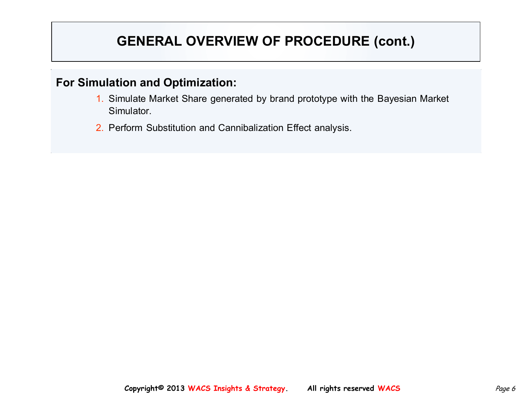## **GENERAL OVERVIEW OF PROCEDURE (cont.)**

#### **For Simulation and Optimization:**

- 1. Simulate Market Share generated by brand prototype with the Bayesian Market Simulator.
- 2. Perform Substitution and Cannibalization Effect analysis.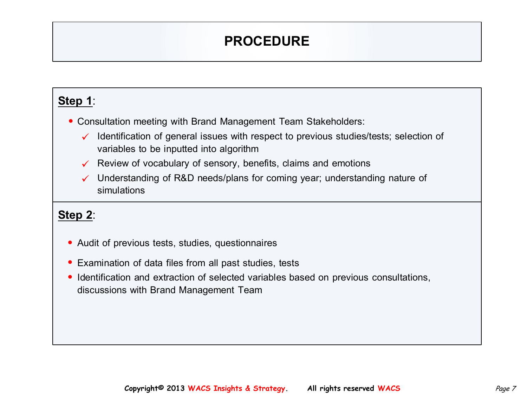## **PROCEDURE**

### **Step 1**:

• Consultation meeting with Brand Management Team Stakeholders:

- $\checkmark$  Identification of general issues with respect to previous studies/tests; selection of variables to be inputted into algorithm
- $\checkmark$  Review of vocabulary of sensory, benefits, claims and emotions
- $\checkmark$  Understanding of R&D needs/plans for coming year; understanding nature of simulations

### **Step 2**:

- Audit of previous tests, studies, questionnaires
- Examination of data files from all past studies, tests
- Identification and extraction of selected variables based on previous consultations, discussions with Brand Management Team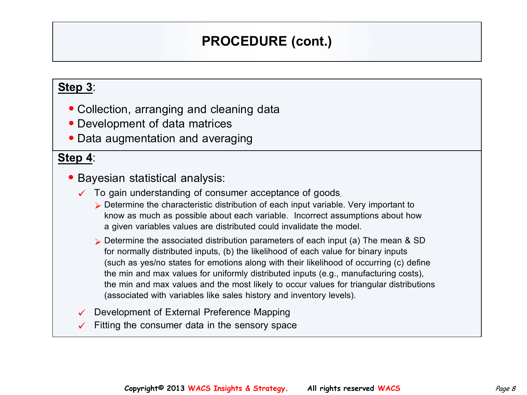## **PROCEDURE (cont.)**

#### **Step 3**:

- Collection, arranging and cleaning data
- Development of data matrices
- Data augmentation and averaging

#### **Step 4**:

- Bayesian statistical analysis:
	- $\checkmark$  To gain understanding of consumer acceptance of goods.
		- $\triangleright$  Determine the characteristic distribution of each input variable. Very important to know as much as possible about each variable. Incorrect assumptions about how a given variables values are distributed could invalidate the model.
		- $\triangleright$  Determine the associated distribution parameters of each input (a) The mean & SD for normally distributed inputs, (b) the likelihood of each value for binary inputs (such as yes/no states for emotions along with their likelihood of occurring (c) define the min and max values for uniformly distributed inputs (e.g., manufacturing costs), the min and max values and the most likely to occur values for triangular distributions (associated with variables like sales history and inventory levels).
	- Development of External Preference Mapping
	- Fitting the consumer data in the sensory space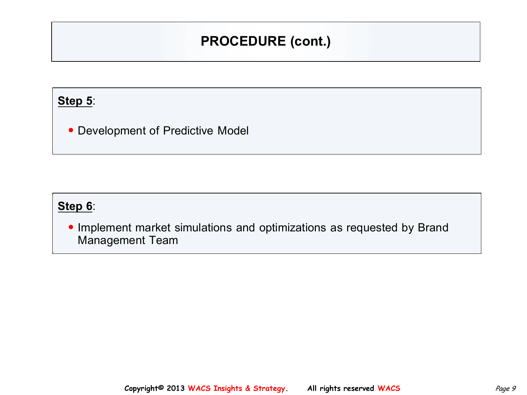## **PROCEDURE (cont.)**

#### **Step 5**:

• Development of Predictive Model

### **Step 6**:

• Implement market simulations and optimizations as requested by Brand Management Team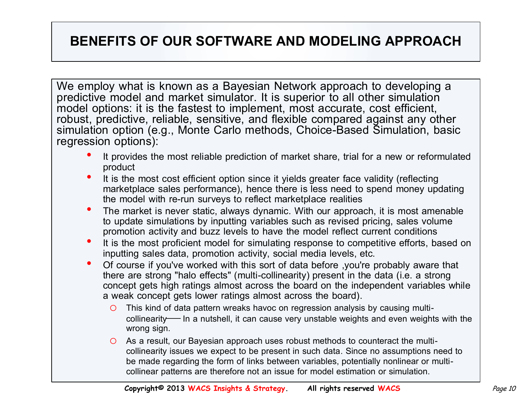### **BENEFITS OF OUR SOFTWARE AND MODELING APPROACH**

We employ what is known as a Bayesian Network approach to developing a predictive model and market simulator. It is superior to all other simulation model options: it is the fastest to implement, most accurate, cost efficient, robust, predictive, reliable, sensitive, and flexible compared against any other simulation option (e.g., Monte Carlo methods, Choice-Based Simulation, basic regression options):

- It provides the most reliable prediction of market share, trial for a new or reformulated product
- It is the most cost efficient option since it yields greater face validity (reflecting marketplace sales performance), hence there is less need to spend money updating the model with re-run surveys to reflect marketplace realities
- The market is never static, always dynamic. With our approach, it is most amenable to update simulations by inputting variables such as revised pricing, sales volume promotion activity and buzz levels to have the model reflect current conditions
- It is the most proficient model for simulating response to competitive efforts, based on inputting sales data, promotion activity, social media levels, etc.
- Of course if you've worked with this sort of data before ,you're probably aware that there are strong "halo effects" (multi-collinearity) present in the data (i.e. a strong concept gets high ratings almost across the board on the independent variables while a weak concept gets lower ratings almost across the board).
	- o This kind of data pattern wreaks havoc on regression analysis by causing multicollinearity— In a nutshell, it can cause very unstable weights and even weights with the wrong sign.
	- o As a result, our Bayesian approach uses robust methods to counteract the multicollinearity issues we expect to be present in such data. Since no assumptions need to be made regarding the form of links between variables, potentially nonlinear or multicollinear patterns are therefore not an issue for model estimation or simulation.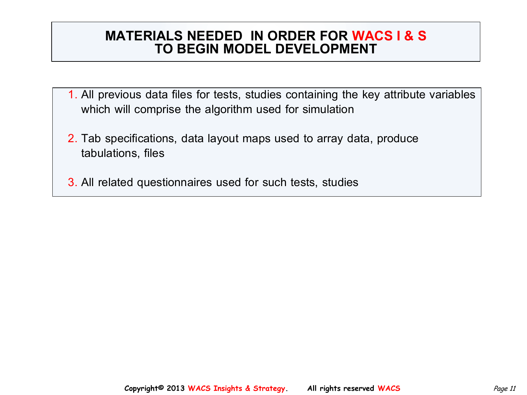### **MATERIALS NEEDED IN ORDER FOR WACS I & S TO BEGIN MODEL DEVELOPMENT**

- 1. All previous data files for tests, studies containing the key attribute variables which will comprise the algorithm used for simulation
- 2. Tab specifications, data layout maps used to array data, produce tabulations, files
- 3. All related questionnaires used for such tests, studies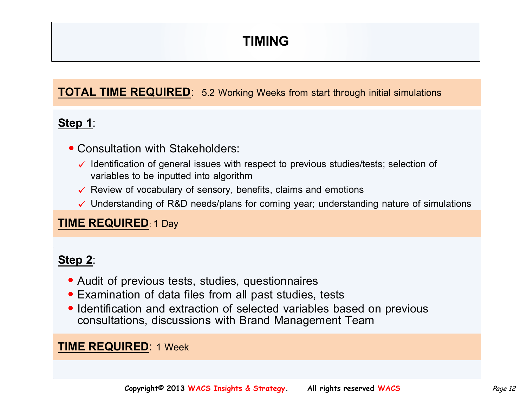## **TIMING**

#### **TOTAL TIME REQUIRED**: 5.2 Working Weeks from start through initial simulations

### **Step 1**:

- Consultation with Stakeholders:
	- $\checkmark$  Identification of general issues with respect to previous studies/tests; selection of variables to be inputted into algorithm
	- $\checkmark$  Review of vocabulary of sensory, benefits, claims and emotions
	- $\checkmark$  Understanding of R&D needs/plans for coming year; understanding nature of simulations

#### **TIME REQUIRED**: 1 Day

#### ֺ֖֚֝֬ **Step 2**:

- Audit of previous tests, studies, questionnaires
- Examination of data files from all past studies, tests
- Identification and extraction of selected variables based on previous consultations, discussions with Brand Management Team

#### **TIME REQUIRED**: 1 Week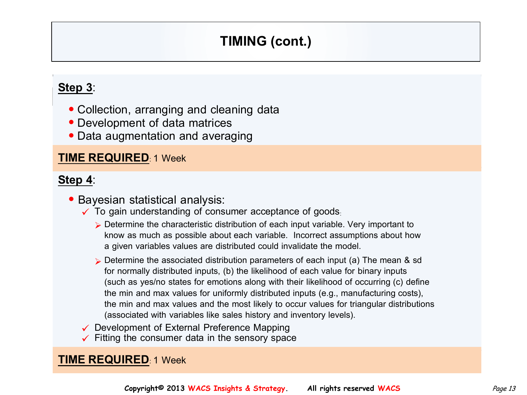## **TIMING (cont.)**

#### **OF WORK WEEKS REQUIRED: Step 3**:

- Collection, arranging and cleaning data
- Development of data matrices
- Data augmentation and averaging

#### **TIME REQUIRED**: 1 Week

#### **Step 4**:

- Bayesian statistical analysis:
	- $\checkmark$  To gain understanding of consumer acceptance of goods.
		- $\triangleright$  Determine the characteristic distribution of each input variable. Very important to know as much as possible about each variable. Incorrect assumptions about how a given variables values are distributed could invalidate the model.
		- $\triangleright$  Determine the associated distribution parameters of each input (a) The mean & sd for normally distributed inputs, (b) the likelihood of each value for binary inputs (such as yes/no states for emotions along with their likelihood of occurring (c) define the min and max values for uniformly distributed inputs (e.g., manufacturing costs), the min and max values and the most likely to occur values for triangular distributions (associated with variables like sales history and inventory levels).
	- $\checkmark$  Development of External Preference Mapping
	- $\checkmark$  Fitting the consumer data in the sensory space

#### **TIME REQUIRED**: 1 Week

**Copyright© 2013 WACS Insights & Strategy.** All rights reserved WACS *Page 13*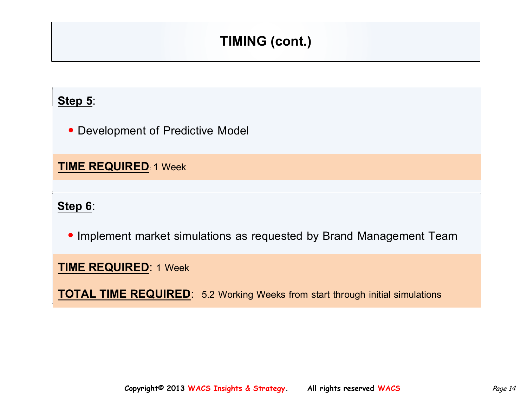## **TIMING (cont.)**

### **Step 5:**

• Development of Predictive Model

**TIME REQUIRED**: 1 Week

**Step 6**:

• Implement market simulations as requested by Brand Management Team

**TIME REQUIRED**: 1 Week

**TOTAL TIME REQUIRED**: 5.2 Working Weeks from start through initial simulations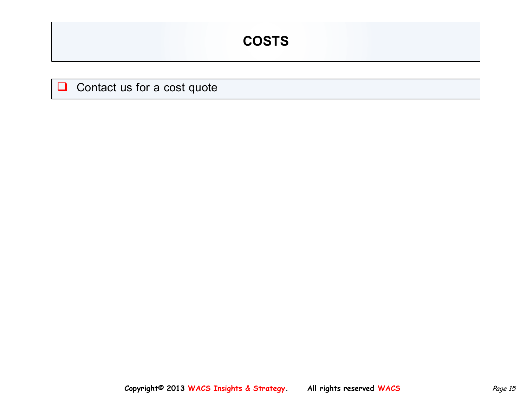## **COSTS**

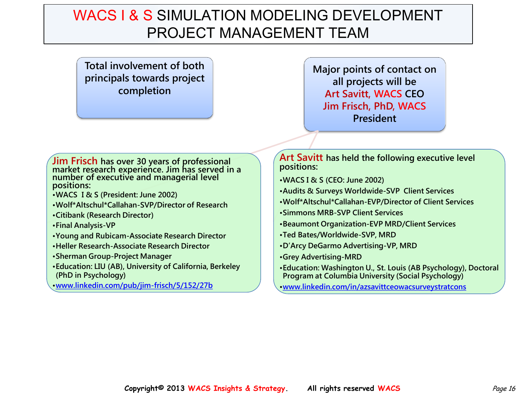## WACS I & S SIMULATION MODELING DEVELOPMENT PROJECT MANAGEMENT TEAM

**Total involvement of both principals towards project completion**

**Major points of contact on all projects will be Art Savitt, WACS CEO Jim Frisch, PhD, WACS President**

**Jim Frisch has over 30 years of professional market research experience. Jim has served in a number of executive and managerial level positions:**

- **•WACS I & S (President: June 2002)**
- **•Wolf\*Altschul\*Callahan-SVP/Director of Research**
- **•Citibank (Research Director)**
- **•Final Analysis-VP**
- **•Young and Rubicam-Associate Research Director**
- **•Heller Research-Associate Research Director**
- **•Sherman Group-Project Manager**
- **•Education: LIU (AB), University of California, Berkeley (PhD in Psychology)**
- **•[www.linkedin.com/pub/jim-frisch/5/152/27b](http://www.linkedin.com/pub/jim-frisch/5/152/27b)**

**Art Savitt has held the following executive level positions:**

- **•WACS I & S (CEO: June 2002)**
- **•Audits & Surveys Worldwide-SVP Client Services**
- **•Wolf\*Altschul\*Callahan-EVP/Director of Client Services**
- **•Simmons MRB-SVP Client Services**
- **•Beaumont Organization-EVP MRD/Client Services**
- **•Ted Bates/Worldwide-SVP, MRD**
- **•D'Arcy DeGarmo Advertising-VP, MRD**
- **•Grey Advertising-MRD**
- **•Education: Washington U., St. Louis (AB Psychology), Doctoral Program at Columbia University (Social Psychology)**

**•[www.linkedin.com/in/azsavittceowacsurveystratcons](http://www.linkedin.com/in/azsavittceowacsurveystratcons)**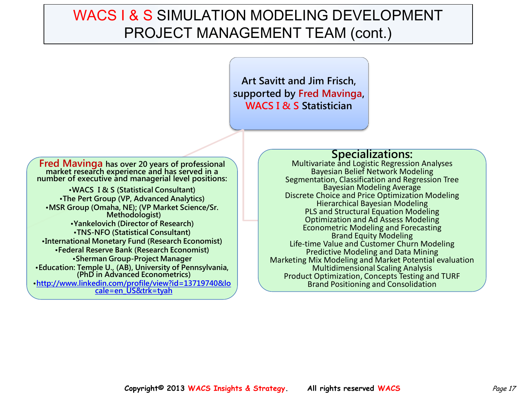## WACS I & S SIMULATION MODELING DEVELOPMENT PROJECT MANAGEMENT TEAM (cont.)

**Art Savitt and Jim Frisch, supported by Fred Mavinga, WACS I & S Statistician**

**Fred Mavinga has over 20 years of professional market research experience and has served in a number of executive and managerial level positions: •WACS I & S (Statistical Consultant) •The Pert Group (VP, Advanced Analytics) •MSR Group (Omaha, NE); (VP Market Science/Sr. Methodologist) •Yankelovich (Director of Research) •TNS-NFO (Statistical Consultant) •International Monetary Fund (Research Economist) •Federal Reserve Bank (Research Economist)**

**•Sherman Group-Project Manager •Education: Temple U., (AB), University of Pennsylvania, (PhD in Advanced Econometrics) •[http://www.linkedin.com/profile/view?id=13719740&lo](http://www.linkedin.com/profile/view?id=13719740&locale=en_US&trk=tyah)**

**[cale=en\\_US&trk=tyah](http://www.linkedin.com/profile/view?id=13719740&locale=en_US&trk=tyah)**

#### **Specializations:**

Multivariate and Logistic Regression Analyses Bayesian Belief Network Modeling Segmentation, Classification and Regression Tree Bayesian Modeling Average Discrete Choice and Price Optimization Modeling Hierarchical Bayesian Modeling PLS and Structural Equation Modeling Optimization and Ad Assess Modeling Econometric Modeling and Forecasting Brand Equity Modeling Life-time Value and Customer Churn Modeling Predictive Modeling and Data Mining Marketing Mix Modeling and Market Potential evaluation Multidimensional Scaling Analysis Product Optimization, Concepts Testing and TURF Brand Positioning and Consolidation